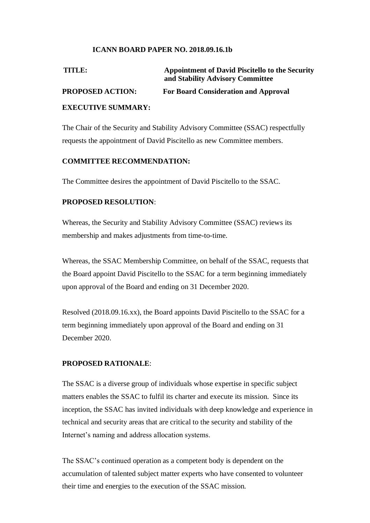## **ICANN BOARD PAPER NO. 2018.09.16.1b**

| TITLE:                     | <b>Appointment of David Piscitello to the Security</b><br>and Stability Advisory Committee |
|----------------------------|--------------------------------------------------------------------------------------------|
| <b>PROPOSED ACTION:</b>    | <b>For Board Consideration and Approval</b>                                                |
| <b>EVECHTIVE CHAIA DV.</b> |                                                                                            |

#### **EXECUTIVE SUMMARY:**

The Chair of the Security and Stability Advisory Committee (SSAC) respectfully requests the appointment of David Piscitello as new Committee members.

### **COMMITTEE RECOMMENDATION:**

The Committee desires the appointment of David Piscitello to the SSAC.

## **PROPOSED RESOLUTION**:

Whereas, the Security and Stability Advisory Committee (SSAC) reviews its membership and makes adjustments from time-to-time.

Whereas, the SSAC Membership Committee, on behalf of the SSAC, requests that the Board appoint David Piscitello to the SSAC for a term beginning immediately upon approval of the Board and ending on 31 December 2020.

Resolved (2018.09.16.xx), the Board appoints David Piscitello to the SSAC for a term beginning immediately upon approval of the Board and ending on 31 December 2020.

### **PROPOSED RATIONALE**:

The SSAC is a diverse group of individuals whose expertise in specific subject matters enables the SSAC to fulfil its charter and execute its mission. Since its inception, the SSAC has invited individuals with deep knowledge and experience in technical and security areas that are critical to the security and stability of the Internet's naming and address allocation systems.

The SSAC's continued operation as a competent body is dependent on the accumulation of talented subject matter experts who have consented to volunteer their time and energies to the execution of the SSAC mission.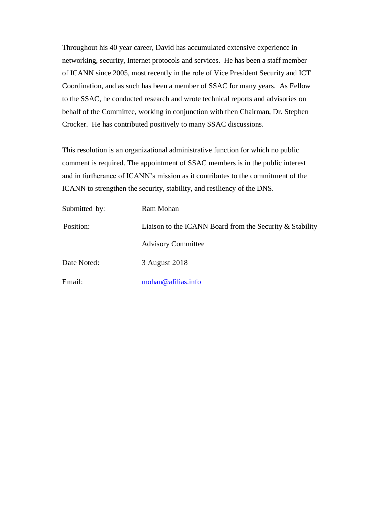Throughout his 40 year career, David has accumulated extensive experience in networking, security, Internet protocols and services. He has been a staff member of ICANN since 2005, most recently in the role of Vice President Security and ICT Coordination, and as such has been a member of SSAC for many years. As Fellow to the SSAC, he conducted research and wrote technical reports and advisories on behalf of the Committee, working in conjunction with then Chairman, Dr. Stephen Crocker. He has contributed positively to many SSAC discussions.

This resolution is an organizational administrative function for which no public comment is required. The appointment of SSAC members is in the public interest and in furtherance of ICANN's mission as it contributes to the commitment of the ICANN to strengthen the security, stability, and resiliency of the DNS.

| Submitted by: | Ram Mohan                                                |  |
|---------------|----------------------------------------------------------|--|
| Position:     | Liaison to the ICANN Board from the Security & Stability |  |
|               | <b>Advisory Committee</b>                                |  |
| Date Noted:   | 3 August 2018                                            |  |
| Email:        | mohan@afilias.info                                       |  |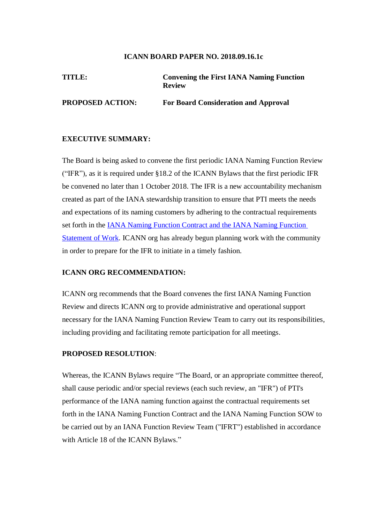#### **ICANN BOARD PAPER NO. 2018.09.16.1c**

# **TITLE: Convening the First IANA Naming Function Review**

**PROPOSED ACTION: For Board Consideration and Approval** 

### **EXECUTIVE SUMMARY:**

The Board is being asked to convene the first periodic IANA Naming Function Review ("IFR"), as it is required under §18.2 of the ICANN Bylaws that the first periodic IFR be convened no later than 1 October 2018. The IFR is a new accountability mechanism created as part of the IANA stewardship transition to ensure that PTI meets the needs and expectations of its naming customers by adhering to the contractual requirements set forth in the IANA Naming Function Contract and the IANA Naming Function Statement of Work. ICANN org has already begun planning work with the community in order to prepare for the IFR to initiate in a timely fashion.

#### **ICANN ORG RECOMMENDATION:**

ICANN org recommends that the Board convenes the first IANA Naming Function Review and directs ICANN org to provide administrative and operational support necessary for the IANA Naming Function Review Team to carry out its responsibilities, including providing and facilitating remote participation for all meetings.

#### **PROPOSED RESOLUTION**:

Whereas, the ICANN Bylaws require "The Board, or an appropriate committee thereof, shall cause periodic and/or special reviews (each such review, an "IFR") of PTI's performance of the IANA naming function against the contractual requirements set forth in the IANA Naming Function Contract and the IANA Naming Function SOW to be carried out by an IANA Function Review Team ("IFRT") established in accordance with Article 18 of the ICANN Bylaws."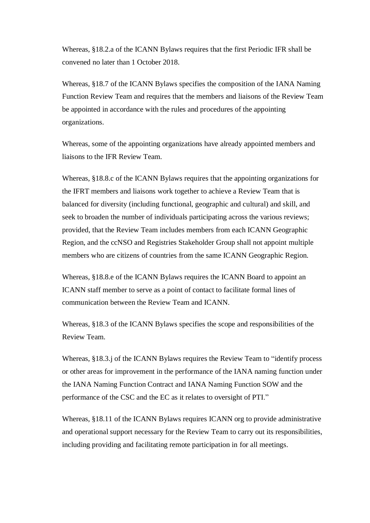Whereas, §18.2.a of the ICANN Bylaws requires that the first Periodic IFR shall be convened no later than 1 October 2018.

Whereas, §18.7 of the ICANN Bylaws specifies the composition of the IANA Naming Function Review Team and requires that the members and liaisons of the Review Team be appointed in accordance with the rules and procedures of the appointing organizations.

Whereas, some of the appointing organizations have already appointed members and liaisons to the IFR Review Team.

Whereas, §18.8.c of the ICANN Bylaws requires that the appointing organizations for the IFRT members and liaisons work together to achieve a Review Team that is balanced for diversity (including functional, geographic and cultural) and skill, and seek to broaden the number of individuals participating across the various reviews; provided, that the Review Team includes members from each ICANN Geographic Region, and the ccNSO and Registries Stakeholder Group shall not appoint multiple members who are citizens of countries from the same ICANN Geographic Region.

Whereas, §18.8.e of the ICANN Bylaws requires the ICANN Board to appoint an ICANN staff member to serve as a point of contact to facilitate formal lines of communication between the Review Team and ICANN.

Whereas, §18.3 of the ICANN Bylaws specifies the scope and responsibilities of the Review Team.

Whereas, §18.3.j of the ICANN Bylaws requires the Review Team to "identify process or other areas for improvement in the performance of the IANA naming function under the IANA Naming Function Contract and IANA Naming Function SOW and the performance of the CSC and the EC as it relates to oversight of PTI."

Whereas, §18.11 of the ICANN Bylaws requires ICANN org to provide administrative and operational support necessary for the Review Team to carry out its responsibilities, including providing and facilitating remote participation in for all meetings.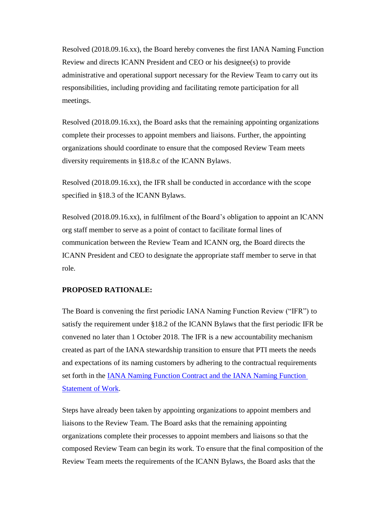Resolved (2018.09.16.xx), the Board hereby convenes the first IANA Naming Function Review and directs ICANN President and CEO or his designee(s) to provide administrative and operational support necessary for the Review Team to carry out its responsibilities, including providing and facilitating remote participation for all meetings.

Resolved (2018.09.16.xx), the Board asks that the remaining appointing organizations complete their processes to appoint members and liaisons. Further, the appointing organizations should coordinate to ensure that the composed Review Team meets diversity requirements in §18.8.c of the ICANN Bylaws.

Resolved (2018.09.16.xx), the IFR shall be conducted in accordance with the scope specified in §18.3 of the ICANN Bylaws.

Resolved (2018.09.16.xx), in fulfilment of the Board's obligation to appoint an ICANN org staff member to serve as a point of contact to facilitate formal lines of communication between the Review Team and ICANN org, the Board directs the ICANN President and CEO to designate the appropriate staff member to serve in that role.

## **PROPOSED RATIONALE:**

The Board is convening the first periodic IANA Naming Function Review ("IFR") to satisfy the requirement under §18.2 of the ICANN Bylaws that the first periodic IFR be convened no later than 1 October 2018. The IFR is a new accountability mechanism created as part of the IANA stewardship transition to ensure that PTI meets the needs and expectations of its naming customers by adhering to the contractual requirements set forth in the IANA Naming Function Contract and the IANA Naming Function Statement of Work.

Steps have already been taken by appointing organizations to appoint members and liaisons to the Review Team. The Board asks that the remaining appointing organizations complete their processes to appoint members and liaisons so that the composed Review Team can begin its work. To ensure that the final composition of the Review Team meets the requirements of the ICANN Bylaws, the Board asks that the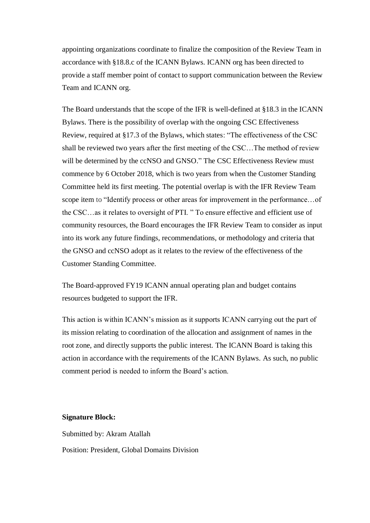appointing organizations coordinate to finalize the composition of the Review Team in accordance with §18.8.c of the ICANN Bylaws. ICANN org has been directed to provide a staff member point of contact to support communication between the Review Team and ICANN org.

The Board understands that the scope of the IFR is well-defined at §18.3 in the ICANN Bylaws. There is the possibility of overlap with the ongoing CSC Effectiveness Review, required at §17.3 of the Bylaws, which states: "The effectiveness of the CSC shall be reviewed two years after the first meeting of the CSC…The method of review will be determined by the ccNSO and GNSO." The CSC Effectiveness Review must commence by 6 October 2018, which is two years from when the Customer Standing Committee held its first meeting. The potential overlap is with the IFR Review Team scope item to "Identify process or other areas for improvement in the performance…of the CSC…as it relates to oversight of PTI. " To ensure effective and efficient use of community resources, the Board encourages the IFR Review Team to consider as input into its work any future findings, recommendations, or methodology and criteria that the GNSO and ccNSO adopt as it relates to the review of the effectiveness of the Customer Standing Committee.

The Board-approved FY19 ICANN annual operating plan and budget contains resources budgeted to support the IFR.

This action is within ICANN's mission as it supports ICANN carrying out the part of its mission relating to coordination of the allocation and assignment of names in the root zone, and directly supports the public interest. The ICANN Board is taking this action in accordance with the requirements of the ICANN Bylaws. As such, no public comment period is needed to inform the Board's action.

#### **Signature Block:**

Submitted by: Akram Atallah Position: President, Global Domains Division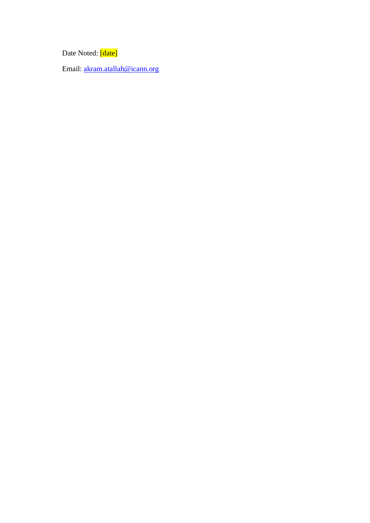Date Noted: [date]

Email: akram.atallah@icann.org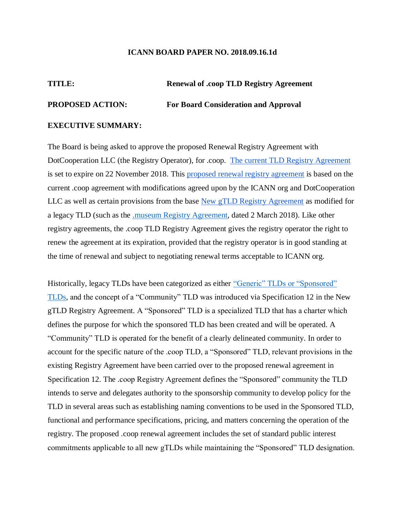#### **ICANN BOARD PAPER NO. 2018.09.16.1d**

# **TITLE: Renewal of .coop TLD Registry Agreement**

#### **PROPOSED ACTION: For Board Consideration and Approval**

#### **EXECUTIVE SUMMARY:**

The Board is being asked to approve the proposed Renewal Registry Agreement with DotCooperation LLC (the Registry Operator), for .coop. The current TLD Registry Agreement is set to expire on 22 November 2018. This proposed renewal registry agreement is based on the current .coop agreement with modifications agreed upon by the ICANN org and DotCooperation LLC as well as certain provisions from the base New gTLD Registry Agreement as modified for a legacy TLD (such as the .museum Registry Agreement, dated 2 March 2018). Like other registry agreements, the .coop TLD Registry Agreement gives the registry operator the right to renew the agreement at its expiration, provided that the registry operator is in good standing at the time of renewal and subject to negotiating renewal terms acceptable to ICANN org.

Historically, legacy TLDs have been categorized as either "Generic" TLDs or "Sponsored" TLDs, and the concept of a "Community" TLD was introduced via Specification 12 in the New gTLD Registry Agreement. A "Sponsored" TLD is a specialized TLD that has a charter which defines the purpose for which the sponsored TLD has been created and will be operated. A "Community" TLD is operated for the benefit of a clearly delineated community. In order to account for the specific nature of the .coop TLD, a "Sponsored" TLD, relevant provisions in the existing Registry Agreement have been carried over to the proposed renewal agreement in Specification 12. The .coop Registry Agreement defines the "Sponsored" community the TLD intends to serve and delegates authority to the sponsorship community to develop policy for the TLD in several areas such as establishing naming conventions to be used in the Sponsored TLD, functional and performance specifications, pricing, and matters concerning the operation of the registry. The proposed .coop renewal agreement includes the set of standard public interest commitments applicable to all new gTLDs while maintaining the "Sponsored" TLD designation.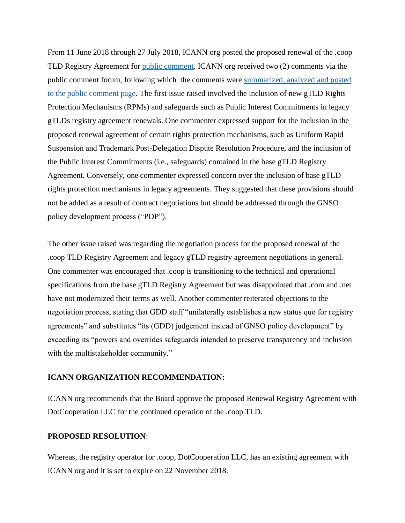From 11 June 2018 through 27 July 2018, ICANN org posted the proposed renewal of the .coop TLD Registry Agreement for public comment. ICANN org received two (2) comments via the public comment forum, following which the comments were summarized, analyzed and posted to the public comment page. The first issue raised involved the inclusion of new gTLD Rights Protection Mechanisms (RPMs) and safeguards such as Public Interest Commitments in legacy gTLDs registry agreement renewals. One commenter expressed support for the inclusion in the proposed renewal agreement of certain rights protection mechanisms, such as Uniform Rapid Suspension and Trademark Post-Delegation Dispute Resolution Procedure, and the inclusion of the Public Interest Commitments (i.e., safeguards) contained in the base gTLD Registry Agreement. Conversely, one commenter expressed concern over the inclusion of base gTLD rights protection mechanisms in legacy agreements. They suggested that these provisions should not be added as a result of contract negotiations but should be addressed through the GNSO policy development process ("PDP").

The other issue raised was regarding the negotiation process for the proposed renewal of the .coop TLD Registry Agreement and legacy gTLD registry agreement negotiations in general. One commenter was encouraged that .coop is transitioning to the technical and operational specifications from the base gTLD Registry Agreement but was disappointed that .com and .net have not modernized their terms as well. Another commenter reiterated objections to the negotiation process, stating that GDD staff "unilaterally establishes a new status quo for registry agreements" and substitutes "its (GDD) judgement instead of GNSO policy development" by exceeding its "powers and overrides safeguards intended to preserve transparency and inclusion with the multistakeholder community."

#### **ICANN ORGANIZATION RECOMMENDATION:**

ICANN org recommends that the Board approve the proposed Renewal Registry Agreement with DotCooperation LLC for the continued operation of the .coop TLD.

#### **PROPOSED RESOLUTION**:

Whereas, the registry operator for .coop, DotCooperation LLC, has an existing agreement with ICANN org and it is set to expire on 22 November 2018.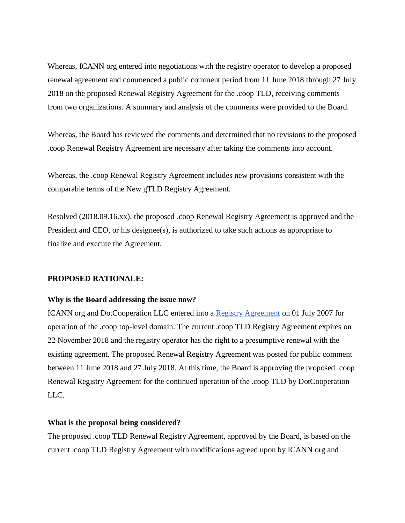Whereas, ICANN org entered into negotiations with the registry operator to develop a proposed renewal agreement and commenced a public comment period from 11 June 2018 through 27 July 2018 on the proposed Renewal Registry Agreement for the .coop TLD, receiving comments from two organizations. A summary and analysis of the comments were provided to the Board.

Whereas, the Board has reviewed the comments and determined that no revisions to the proposed .coop Renewal Registry Agreement are necessary after taking the comments into account.

Whereas, the .coop Renewal Registry Agreement includes new provisions consistent with the comparable terms of the New gTLD Registry Agreement.

Resolved (2018.09.16.xx), the proposed .coop Renewal Registry Agreement is approved and the President and CEO, or his designee(s), is authorized to take such actions as appropriate to finalize and execute the Agreement.

#### **PROPOSED RATIONALE:**

#### **Why is the Board addressing the issue now?**

ICANN org and DotCooperation LLC entered into a Registry Agreement on 01 July 2007 for operation of the .coop top-level domain. The current .coop TLD Registry Agreement expires on 22 November 2018 and the registry operator has the right to a presumptive renewal with the existing agreement. The proposed Renewal Registry Agreement was posted for public comment between 11 June 2018 and 27 July 2018. At this time, the Board is approving the proposed .coop Renewal Registry Agreement for the continued operation of the .coop TLD by DotCooperation LLC.

#### **What is the proposal being considered?**

The proposed .coop TLD Renewal Registry Agreement, approved by the Board, is based on the current .coop TLD Registry Agreement with modifications agreed upon by ICANN org and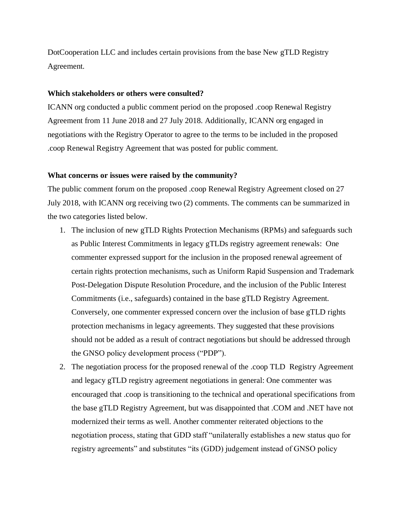DotCooperation LLC and includes certain provisions from the base New gTLD Registry Agreement.

#### **Which stakeholders or others were consulted?**

ICANN org conducted a public comment period on the proposed .coop Renewal Registry Agreement from 11 June 2018 and 27 July 2018. Additionally, ICANN org engaged in negotiations with the Registry Operator to agree to the terms to be included in the proposed .coop Renewal Registry Agreement that was posted for public comment.

#### **What concerns or issues were raised by the community?**

The public comment forum on the proposed .coop Renewal Registry Agreement closed on 27 July 2018, with ICANN org receiving two (2) comments. The comments can be summarized in the two categories listed below.

- 1. The inclusion of new gTLD Rights Protection Mechanisms (RPMs) and safeguards such as Public Interest Commitments in legacy gTLDs registry agreement renewals: One commenter expressed support for the inclusion in the proposed renewal agreement of certain rights protection mechanisms, such as Uniform Rapid Suspension and Trademark Post-Delegation Dispute Resolution Procedure, and the inclusion of the Public Interest Commitments (i.e., safeguards) contained in the base gTLD Registry Agreement. Conversely, one commenter expressed concern over the inclusion of base gTLD rights protection mechanisms in legacy agreements. They suggested that these provisions should not be added as a result of contract negotiations but should be addressed through the GNSO policy development process ("PDP").
- 2. The negotiation process for the proposed renewal of the .coop TLD Registry Agreement and legacy gTLD registry agreement negotiations in general: One commenter was encouraged that .coop is transitioning to the technical and operational specifications from the base gTLD Registry Agreement, but was disappointed that .COM and .NET have not modernized their terms as well. Another commenter reiterated objections to the negotiation process, stating that GDD staff "unilaterally establishes a new status quo for registry agreements" and substitutes "its (GDD) judgement instead of GNSO policy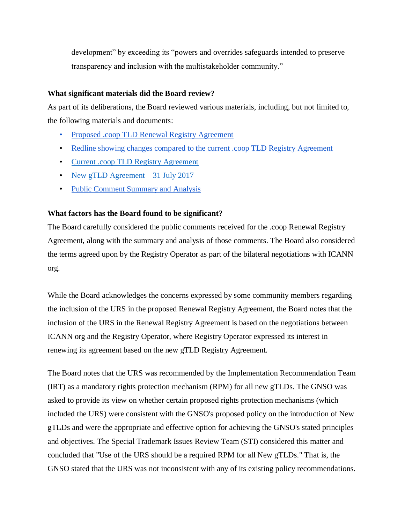development" by exceeding its "powers and overrides safeguards intended to preserve transparency and inclusion with the multistakeholder community."

#### **What significant materials did the Board review?**

As part of its deliberations, the Board reviewed various materials, including, but not limited to, the following materials and documents:

- Proposed .coop TLD Renewal Registry Agreement
- Redline showing changes compared to the current .coop TLD Registry Agreement
- Current .coop TLD Registry Agreement
- New gTLD Agreement 31 July 2017
- Public Comment Summary and Analysis

#### **What factors has the Board found to be significant?**

The Board carefully considered the public comments received for the .coop Renewal Registry Agreement, along with the summary and analysis of those comments. The Board also considered the terms agreed upon by the Registry Operator as part of the bilateral negotiations with ICANN org.

While the Board acknowledges the concerns expressed by some community members regarding the inclusion of the URS in the proposed Renewal Registry Agreement, the Board notes that the inclusion of the URS in the Renewal Registry Agreement is based on the negotiations between ICANN org and the Registry Operator, where Registry Operator expressed its interest in renewing its agreement based on the new gTLD Registry Agreement.

The Board notes that the URS was recommended by the Implementation Recommendation Team (IRT) as a mandatory rights protection mechanism (RPM) for all new gTLDs. The GNSO was asked to provide its view on whether certain proposed rights protection mechanisms (which included the URS) were consistent with the GNSO's proposed policy on the introduction of New gTLDs and were the appropriate and effective option for achieving the GNSO's stated principles and objectives. The Special Trademark Issues Review Team (STI) considered this matter and concluded that "Use of the URS should be a required RPM for all New gTLDs." That is, the GNSO stated that the URS was not inconsistent with any of its existing policy recommendations.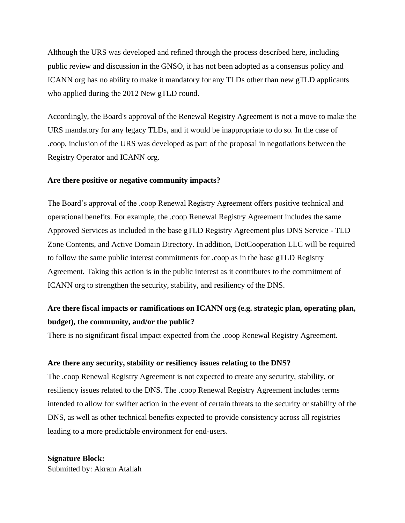Although the URS was developed and refined through the process described here, including public review and discussion in the GNSO, it has not been adopted as a consensus policy and ICANN org has no ability to make it mandatory for any TLDs other than new gTLD applicants who applied during the 2012 New gTLD round.

Accordingly, the Board's approval of the Renewal Registry Agreement is not a move to make the URS mandatory for any legacy TLDs, and it would be inappropriate to do so. In the case of .coop, inclusion of the URS was developed as part of the proposal in negotiations between the Registry Operator and ICANN org.

#### **Are there positive or negative community impacts?**

The Board's approval of the .coop Renewal Registry Agreement offers positive technical and operational benefits. For example, the .coop Renewal Registry Agreement includes the same Approved Services as included in the base gTLD Registry Agreement plus DNS Service - TLD Zone Contents, and Active Domain Directory. In addition, DotCooperation LLC will be required to follow the same public interest commitments for .coop as in the base gTLD Registry Agreement. Taking this action is in the public interest as it contributes to the commitment of ICANN org to strengthen the security, stability, and resiliency of the DNS.

# **Are there fiscal impacts or ramifications on ICANN org (e.g. strategic plan, operating plan, budget), the community, and/or the public?**

There is no significant fiscal impact expected from the .coop Renewal Registry Agreement.

#### **Are there any security, stability or resiliency issues relating to the DNS?**

The .coop Renewal Registry Agreement is not expected to create any security, stability, or resiliency issues related to the DNS. The .coop Renewal Registry Agreement includes terms intended to allow for swifter action in the event of certain threats to the security or stability of the DNS, as well as other technical benefits expected to provide consistency across all registries leading to a more predictable environment for end-users.

# **Signature Block:** Submitted by: Akram Atallah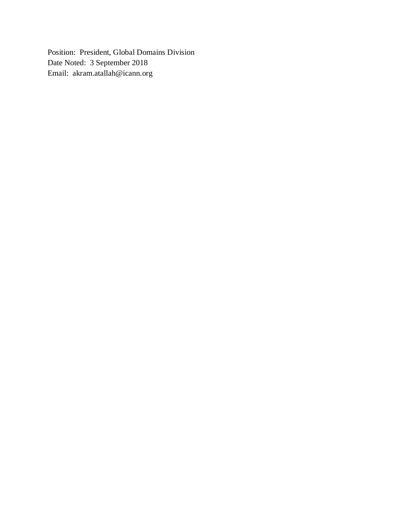Position: President, Global Domains Division Date Noted: 3 September 2018 Email: akram.atallah@icann.org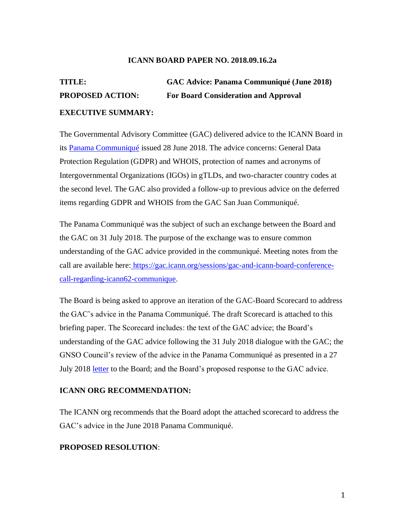#### **ICANN BOARD PAPER NO. 2018.09.16.2a**

# **TITLE: GAC Advice: Panama Communiqué (June 2018) PROPOSED ACTION: For Board Consideration and Approval EXECUTIVE SUMMARY:**

The Governmental Advisory Committee (GAC) delivered advice to the ICANN Board in its Panama Communiqué issued 28 June 2018. The advice concerns: General Data Protection Regulation (GDPR) and WHOIS, protection of names and acronyms of Intergovernmental Organizations (IGOs) in gTLDs, and two-character country codes at the second level. The GAC also provided a follow-up to previous advice on the deferred items regarding GDPR and WHOIS from the GAC San Juan Communiqué.

The Panama Communiqué was the subject of such an exchange between the Board and the GAC on 31 July 2018. The purpose of the exchange was to ensure common understanding of the GAC advice provided in the communiqué. Meeting notes from the call are available here: https://gac.icann.org/sessions/gac-and-icann-board-conferencecall-regarding-icann62-communique.

The Board is being asked to approve an iteration of the GAC-Board Scorecard to address the GAC's advice in the Panama Communiqué. The draft Scorecard is attached to this briefing paper. The Scorecard includes: the text of the GAC advice; the Board's understanding of the GAC advice following the 31 July 2018 dialogue with the GAC; the GNSO Council's review of the advice in the Panama Communiqué as presented in a 27 July 2018 letter to the Board; and the Board's proposed response to the GAC advice.

#### **ICANN ORG RECOMMENDATION:**

The ICANN org recommends that the Board adopt the attached scorecard to address the GAC's advice in the June 2018 Panama Communiqué.

### **PROPOSED RESOLUTION**: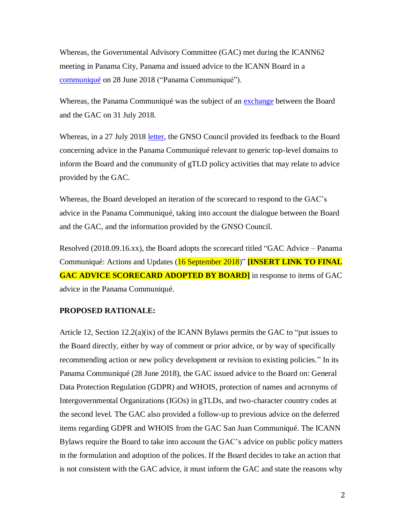Whereas, the Governmental Advisory Committee (GAC) met during the ICANN62 meeting in Panama City, Panama and issued advice to the ICANN Board in a communiqué on 28 June 2018 ("Panama Communiqué").

Whereas, the Panama Communiqué was the subject of an **exchange** between the Board and the GAC on 31 July 2018.

Whereas, in a 27 July 2018 letter, the GNSO Council provided its feedback to the Board concerning advice in the Panama Communiqué relevant to generic top-level domains to inform the Board and the community of gTLD policy activities that may relate to advice provided by the GAC.

Whereas, the Board developed an iteration of the scorecard to respond to the GAC's advice in the Panama Communiqué, taking into account the dialogue between the Board and the GAC, and the information provided by the GNSO Council.

Resolved (2018.09.16.xx), the Board adopts the scorecard titled "GAC Advice – Panama Communiqué: Actions and Updates (16 September 2018)" **[INSERT LINK TO FINAL GAC ADVICE SCORECARD ADOPTED BY BOARD]** in response to items of GAC advice in the Panama Communiqué.

#### **PROPOSED RATIONALE:**

Article 12, Section 12.2(a)(ix) of the ICANN Bylaws permits the GAC to "put issues to the Board directly, either by way of comment or prior advice, or by way of specifically recommending action or new policy development or revision to existing policies." In its Panama Communiqué (28 June 2018), the GAC issued advice to the Board on: General Data Protection Regulation (GDPR) and WHOIS, protection of names and acronyms of Intergovernmental Organizations (IGOs) in gTLDs, and two-character country codes at the second level. The GAC also provided a follow-up to previous advice on the deferred items regarding GDPR and WHOIS from the GAC San Juan Communiqué. The ICANN Bylaws require the Board to take into account the GAC's advice on public policy matters in the formulation and adoption of the polices. If the Board decides to take an action that is not consistent with the GAC advice, it must inform the GAC and state the reasons why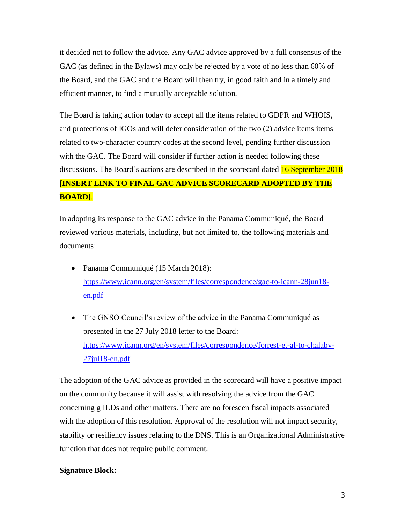it decided not to follow the advice. Any GAC advice approved by a full consensus of the GAC (as defined in the Bylaws) may only be rejected by a vote of no less than 60% of the Board, and the GAC and the Board will then try, in good faith and in a timely and efficient manner, to find a mutually acceptable solution.

The Board is taking action today to accept all the items related to GDPR and WHOIS, and protections of IGOs and will defer consideration of the two (2) advice items items related to two-character country codes at the second level, pending further discussion with the GAC. The Board will consider if further action is needed following these discussions. The Board's actions are described in the scorecard dated **16 September 2018 [INSERT LINK TO FINAL GAC ADVICE SCORECARD ADOPTED BY THE BOARD]**.

In adopting its response to the GAC advice in the Panama Communiqué, the Board reviewed various materials, including, but not limited to, the following materials and documents:

- Panama Communiqué (15 March 2018): https://www.icann.org/en/system/files/correspondence/gac-to-icann-28jun18 en.pdf
- The GNSO Council's review of the advice in the Panama Communiqué as presented in the 27 July 2018 letter to the Board: https://www.icann.org/en/system/files/correspondence/forrest-et-al-to-chalaby-27jul18-en.pdf

The adoption of the GAC advice as provided in the scorecard will have a positive impact on the community because it will assist with resolving the advice from the GAC concerning gTLDs and other matters. There are no foreseen fiscal impacts associated with the adoption of this resolution. Approval of the resolution will not impact security, stability or resiliency issues relating to the DNS. This is an Organizational Administrative function that does not require public comment.

### **Signature Block:**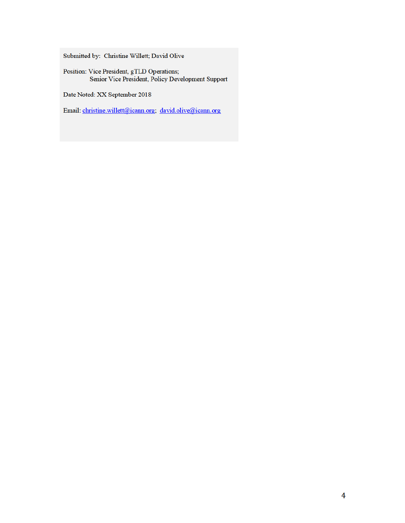Submitted by: Christine Willett; David Olive

Position: Vice President, gTLD Operations;<br>Senior Vice President, Policy Development Support

Date Noted: XX September 2018

Email: christine.willett@icann.org; david.olive@icann.org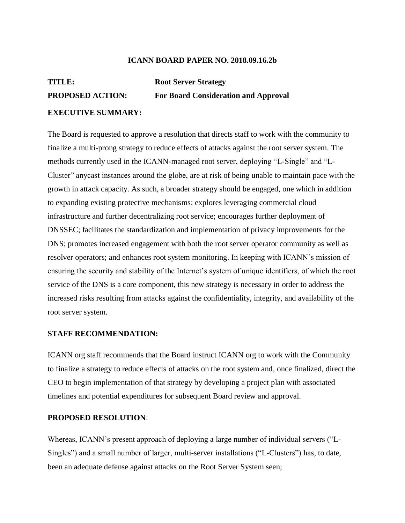#### **ICANN BOARD PAPER NO. 2018.09.16.2b**

# **TITLE: Root Server Strategy PROPOSED ACTION: For Board Consideration and Approval**

### **EXECUTIVE SUMMARY:**

The Board is requested to approve a resolution that directs staff to work with the community to finalize a multi-prong strategy to reduce effects of attacks against the root server system. The methods currently used in the ICANN-managed root server, deploying "L-Single" and "L-Cluster" anycast instances around the globe, are at risk of being unable to maintain pace with the growth in attack capacity. As such, a broader strategy should be engaged, one which in addition to expanding existing protective mechanisms; explores leveraging commercial cloud infrastructure and further decentralizing root service; encourages further deployment of DNSSEC; facilitates the standardization and implementation of privacy improvements for the DNS; promotes increased engagement with both the root server operator community as well as resolver operators; and enhances root system monitoring. In keeping with ICANN's mission of ensuring the security and stability of the Internet's system of unique identifiers, of which the root service of the DNS is a core component, this new strategy is necessary in order to address the increased risks resulting from attacks against the confidentiality, integrity, and availability of the root server system.

#### **STAFF RECOMMENDATION:**

ICANN org staff recommends that the Board instruct ICANN org to work with the Community to finalize a strategy to reduce effects of attacks on the root system and, once finalized, direct the CEO to begin implementation of that strategy by developing a project plan with associated timelines and potential expenditures for subsequent Board review and approval.

#### **PROPOSED RESOLUTION**:

Whereas, ICANN's present approach of deploying a large number of individual servers ("L-Singles") and a small number of larger, multi-server installations ("L-Clusters") has, to date, been an adequate defense against attacks on the Root Server System seen;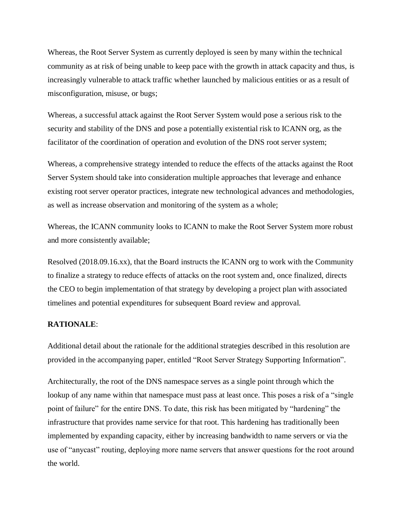Whereas, the Root Server System as currently deployed is seen by many within the technical community as at risk of being unable to keep pace with the growth in attack capacity and thus, is increasingly vulnerable to attack traffic whether launched by malicious entities or as a result of misconfiguration, misuse, or bugs;

Whereas, a successful attack against the Root Server System would pose a serious risk to the security and stability of the DNS and pose a potentially existential risk to ICANN org, as the facilitator of the coordination of operation and evolution of the DNS root server system;

Whereas, a comprehensive strategy intended to reduce the effects of the attacks against the Root Server System should take into consideration multiple approaches that leverage and enhance existing root server operator practices, integrate new technological advances and methodologies, as well as increase observation and monitoring of the system as a whole;

Whereas, the ICANN community looks to ICANN to make the Root Server System more robust and more consistently available;

Resolved (2018.09.16.xx), that the Board instructs the ICANN org to work with the Community to finalize a strategy to reduce effects of attacks on the root system and, once finalized, directs the CEO to begin implementation of that strategy by developing a project plan with associated timelines and potential expenditures for subsequent Board review and approval.

#### **RATIONALE**:

Additional detail about the rationale for the additional strategies described in this resolution are provided in the accompanying paper, entitled "Root Server Strategy Supporting Information".

Architecturally, the root of the DNS namespace serves as a single point through which the lookup of any name within that namespace must pass at least once. This poses a risk of a "single point of failure" for the entire DNS. To date, this risk has been mitigated by "hardening" the infrastructure that provides name service for that root. This hardening has traditionally been implemented by expanding capacity, either by increasing bandwidth to name servers or via the use of "anycast" routing, deploying more name servers that answer questions for the root around the world.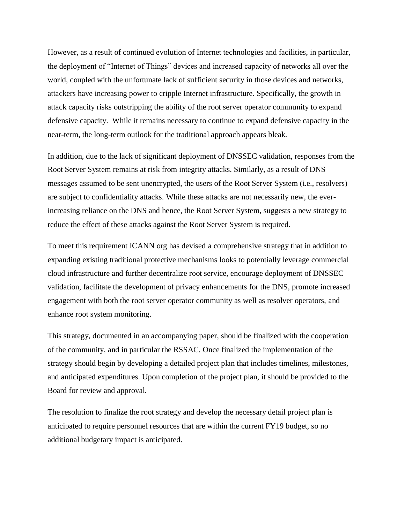However, as a result of continued evolution of Internet technologies and facilities, in particular, the deployment of "Internet of Things" devices and increased capacity of networks all over the world, coupled with the unfortunate lack of sufficient security in those devices and networks, attackers have increasing power to cripple Internet infrastructure. Specifically, the growth in attack capacity risks outstripping the ability of the root server operator community to expand defensive capacity. While it remains necessary to continue to expand defensive capacity in the near-term, the long-term outlook for the traditional approach appears bleak.

In addition, due to the lack of significant deployment of DNSSEC validation, responses from the Root Server System remains at risk from integrity attacks. Similarly, as a result of DNS messages assumed to be sent unencrypted, the users of the Root Server System (i.e., resolvers) are subject to confidentiality attacks. While these attacks are not necessarily new, the everincreasing reliance on the DNS and hence, the Root Server System, suggests a new strategy to reduce the effect of these attacks against the Root Server System is required.

To meet this requirement ICANN org has devised a comprehensive strategy that in addition to expanding existing traditional protective mechanisms looks to potentially leverage commercial cloud infrastructure and further decentralize root service, encourage deployment of DNSSEC validation, facilitate the development of privacy enhancements for the DNS, promote increased engagement with both the root server operator community as well as resolver operators, and enhance root system monitoring.

This strategy, documented in an accompanying paper, should be finalized with the cooperation of the community, and in particular the RSSAC. Once finalized the implementation of the strategy should begin by developing a detailed project plan that includes timelines, milestones, and anticipated expenditures. Upon completion of the project plan, it should be provided to the Board for review and approval.

The resolution to finalize the root strategy and develop the necessary detail project plan is anticipated to require personnel resources that are within the current FY19 budget, so no additional budgetary impact is anticipated.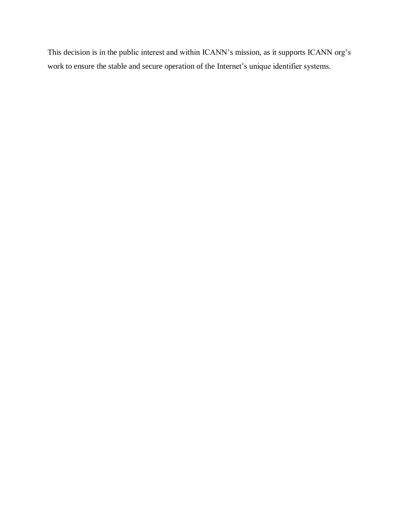This decision is in the public interest and within ICANN's mission, as it supports ICANN org's work to ensure the stable and secure operation of the Internet's unique identifier systems.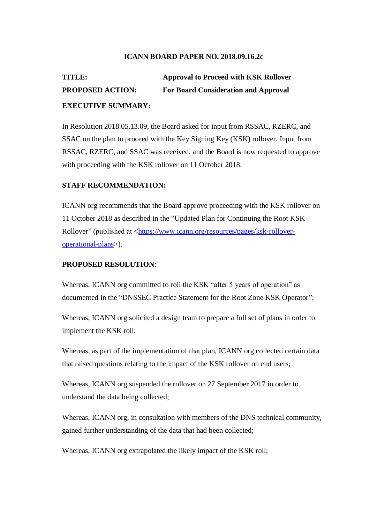### **ICANN BOARD PAPER NO. 2018.09.16.2c**

# **TITLE: Approval to Proceed with KSK Rollover PROPOSED ACTION: For Board Consideration and Approval EXECUTIVE SUMMARY:**

In Resolution 2018.05.13.09, the Board asked for input from RSSAC, RZERC, and SSAC on the plan to proceed with the Key Signing Key (KSK) rollover. Input from RSSAC, RZERC, and SSAC was received, and the Board is now requested to approve with proceeding with the KSK rollover on 11 October 2018.

## **STAFF RECOMMENDATION:**

ICANN org recommends that the Board approve proceeding with the KSK rollover on 11 October 2018 as described in the "Updated Plan for Continuing the Root KSK Rollover" (published at <https://www.icann.org/resources/pages/ksk-rolloveroperational-plans>).

## **PROPOSED RESOLUTION**:

Whereas, ICANN org committed to roll the KSK "after 5 years of operation" as documented in the "DNSSEC Practice Statement for the Root Zone KSK Operator";

Whereas, ICANN org solicited a design team to prepare a full set of plans in order to implement the KSK roll;

Whereas, as part of the implementation of that plan, ICANN org collected certain data that raised questions relating to the impact of the KSK rollover on end users;

Whereas, ICANN org suspended the rollover on 27 September 2017 in order to understand the data being collected;

Whereas, ICANN org, in consultation with members of the DNS technical community, gained further understanding of the data that had been collected;

Whereas, ICANN org extrapolated the likely impact of the KSK roll;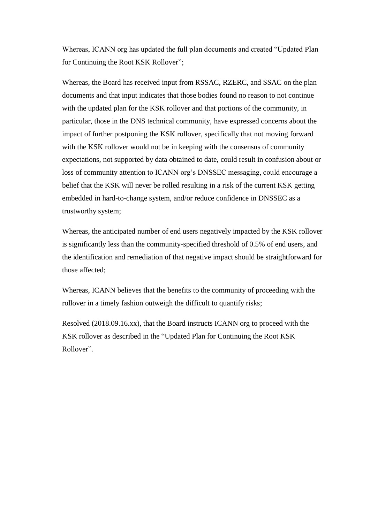Whereas, ICANN org has updated the full plan documents and created "Updated Plan for Continuing the Root KSK Rollover";

Whereas, the Board has received input from RSSAC, RZERC, and SSAC on the plan documents and that input indicates that those bodies found no reason to not continue with the updated plan for the KSK rollover and that portions of the community, in particular, those in the DNS technical community, have expressed concerns about the impact of further postponing the KSK rollover, specifically that not moving forward with the KSK rollover would not be in keeping with the consensus of community expectations, not supported by data obtained to date, could result in confusion about or loss of community attention to ICANN org's DNSSEC messaging, could encourage a belief that the KSK will never be rolled resulting in a risk of the current KSK getting embedded in hard-to-change system, and/or reduce confidence in DNSSEC as a trustworthy system;

Whereas, the anticipated number of end users negatively impacted by the KSK rollover is significantly less than the community-specified threshold of 0.5% of end users, and the identification and remediation of that negative impact should be straightforward for those affected;

Whereas, ICANN believes that the benefits to the community of proceeding with the rollover in a timely fashion outweigh the difficult to quantify risks;

Resolved (2018.09.16.xx), that the Board instructs ICANN org to proceed with the KSK rollover as described in the "Updated Plan for Continuing the Root KSK Rollover".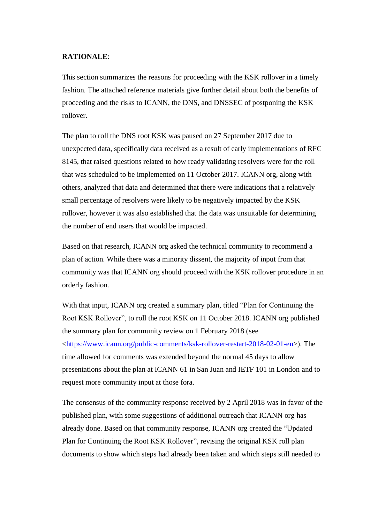#### **RATIONALE**:

This section summarizes the reasons for proceeding with the KSK rollover in a timely fashion. The attached reference materials give further detail about both the benefits of proceeding and the risks to ICANN, the DNS, and DNSSEC of postponing the KSK rollover.

The plan to roll the DNS root KSK was paused on 27 September 2017 due to unexpected data, specifically data received as a result of early implementations of RFC 8145, that raised questions related to how ready validating resolvers were for the roll that was scheduled to be implemented on 11 October 2017. ICANN org, along with others, analyzed that data and determined that there were indications that a relatively small percentage of resolvers were likely to be negatively impacted by the KSK rollover, however it was also established that the data was unsuitable for determining the number of end users that would be impacted.

Based on that research, ICANN org asked the technical community to recommend a plan of action. While there was a minority dissent, the majority of input from that community was that ICANN org should proceed with the KSK rollover procedure in an orderly fashion.

With that input, ICANN org created a summary plan, titled "Plan for Continuing the Root KSK Rollover", to roll the root KSK on 11 October 2018. ICANN org published the summary plan for community review on 1 February 2018 (see <https://www.icann.org/public-comments/ksk-rollover-restart-2018-02-01-en>). The time allowed for comments was extended beyond the normal 45 days to allow presentations about the plan at ICANN 61 in San Juan and IETF 101 in London and to request more community input at those fora.

The consensus of the community response received by 2 April 2018 was in favor of the published plan, with some suggestions of additional outreach that ICANN org has already done. Based on that community response, ICANN org created the "Updated Plan for Continuing the Root KSK Rollover", revising the original KSK roll plan documents to show which steps had already been taken and which steps still needed to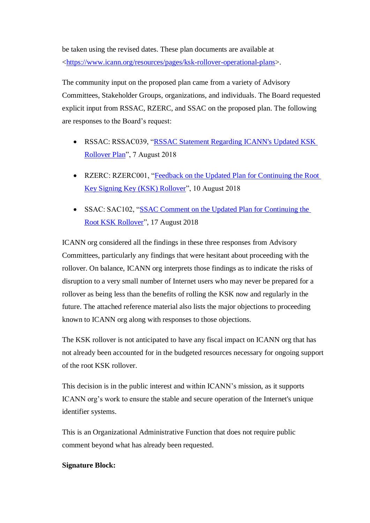be taken using the revised dates. These plan documents are available at <https://www.icann.org/resources/pages/ksk-rollover-operational-plans>.

The community input on the proposed plan came from a variety of Advisory Committees, Stakeholder Groups, organizations, and individuals. The Board requested explicit input from RSSAC, RZERC, and SSAC on the proposed plan. The following are responses to the Board's request:

- RSSAC: RSSAC039, "RSSAC Statement Regarding ICANN's Updated KSK Rollover Plan", 7 August 2018
- RZERC: RZERC001, "Feedback on the Updated Plan for Continuing the Root Key Signing Key (KSK) Rollover", 10 August 2018
- SSAC: SAC102, "SSAC Comment on the Updated Plan for Continuing the Root KSK Rollover", 17 August 2018

ICANN org considered all the findings in these three responses from Advisory Committees, particularly any findings that were hesitant about proceeding with the rollover. On balance, ICANN org interprets those findings as to indicate the risks of disruption to a very small number of Internet users who may never be prepared for a rollover as being less than the benefits of rolling the KSK now and regularly in the future. The attached reference material also lists the major objections to proceeding known to ICANN org along with responses to those objections.

The KSK rollover is not anticipated to have any fiscal impact on ICANN org that has not already been accounted for in the budgeted resources necessary for ongoing support of the root KSK rollover.

This decision is in the public interest and within ICANN's mission, as it supports ICANN org's work to ensure the stable and secure operation of the Internet's unique identifier systems.

This is an Organizational Administrative Function that does not require public comment beyond what has already been requested.

# **Signature Block:**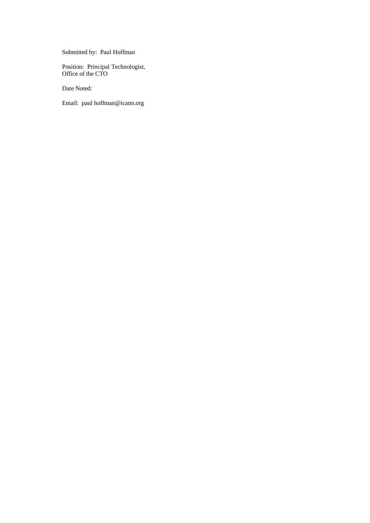Submitted by: Paul Hoffman

Position: Principal Technologist, Office of the CTO

Date Noted:

Email: paul hoffman@icann.org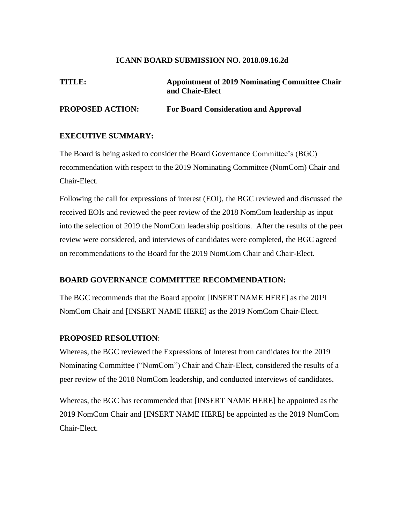#### **ICANN BOARD SUBMISSION NO. 2018.09.16.2d**

# **TITLE: Appointment of 2019 Nominating Committee Chair and Chair-Elect**

# **PROPOSED ACTION: For Board Consideration and Approval**

#### **EXECUTIVE SUMMARY:**

The Board is being asked to consider the Board Governance Committee's (BGC) recommendation with respect to the 2019 Nominating Committee (NomCom) Chair and Chair-Elect.

Following the call for expressions of interest (EOI), the BGC reviewed and discussed the received EOIs and reviewed the peer review of the 2018 NomCom leadership as input into the selection of 2019 the NomCom leadership positions. After the results of the peer review were considered, and interviews of candidates were completed, the BGC agreed on recommendations to the Board for the 2019 NomCom Chair and Chair-Elect.

### **BOARD GOVERNANCE COMMITTEE RECOMMENDATION:**

The BGC recommends that the Board appoint [INSERT NAME HERE] as the 2019 NomCom Chair and [INSERT NAME HERE] as the 2019 NomCom Chair-Elect.

#### **PROPOSED RESOLUTION**:

Whereas, the BGC reviewed the Expressions of Interest from candidates for the 2019 Nominating Committee ("NomCom") Chair and Chair-Elect, considered the results of a peer review of the 2018 NomCom leadership, and conducted interviews of candidates.

Whereas, the BGC has recommended that [INSERT NAME HERE] be appointed as the 2019 NomCom Chair and [INSERT NAME HERE] be appointed as the 2019 NomCom Chair-Elect.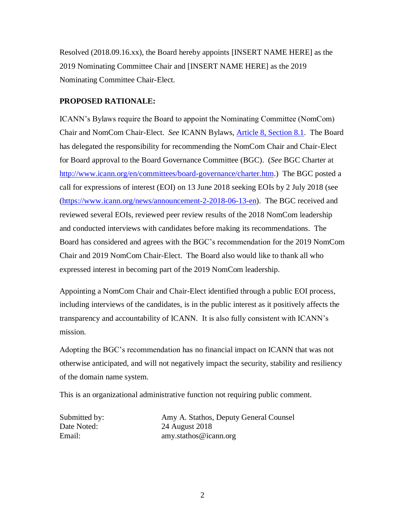Resolved (2018.09.16.xx), the Board hereby appoints [INSERT NAME HERE] as the 2019 Nominating Committee Chair and [INSERT NAME HERE] as the 2019 Nominating Committee Chair-Elect.

## **PROPOSED RATIONALE:**

ICANN's Bylaws require the Board to appoint the Nominating Committee (NomCom) Chair and NomCom Chair-Elect. *See* ICANN Bylaws, Article 8, Section 8.1. The Board has delegated the responsibility for recommending the NomCom Chair and Chair-Elect for Board approval to the Board Governance Committee (BGC). (*See* BGC Charter at http://www.icann.org/en/committees/board-governance/charter.htm.) The BGC posted a call for expressions of interest (EOI) on 13 June 2018 seeking EOIs by 2 July 2018 (see (https://www.icann.org/news/announcement-2-2018-06-13-en). The BGC received and reviewed several EOIs, reviewed peer review results of the 2018 NomCom leadership and conducted interviews with candidates before making its recommendations. The Board has considered and agrees with the BGC's recommendation for the 2019 NomCom Chair and 2019 NomCom Chair-Elect. The Board also would like to thank all who expressed interest in becoming part of the 2019 NomCom leadership.

Appointing a NomCom Chair and Chair-Elect identified through a public EOI process, including interviews of the candidates, is in the public interest as it positively affects the transparency and accountability of ICANN. It is also fully consistent with ICANN's mission.

Adopting the BGC's recommendation has no financial impact on ICANN that was not otherwise anticipated, and will not negatively impact the security, stability and resiliency of the domain name system.

This is an organizational administrative function not requiring public comment.

Submitted by: Amy A. Stathos, Deputy General Counsel<br>Date Noted: 24 August 2018 24 August 2018 Email: amy.stathos@icann.org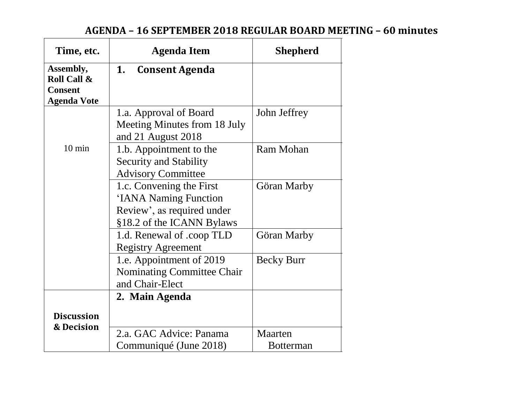# **AGENDA – 16 SEPTEMBER 2018 REGULAR BOARD MEETING – 60 minutes**

| Time, etc.                                                       | <b>Agenda Item</b>                                                                                           | <b>Shepherd</b>   |
|------------------------------------------------------------------|--------------------------------------------------------------------------------------------------------------|-------------------|
| Assembly,<br>Roll Call &<br><b>Consent</b><br><b>Agenda Vote</b> | 1.<br><b>Consent Agenda</b>                                                                                  |                   |
|                                                                  | 1.a. Approval of Board<br>Meeting Minutes from 18 July<br>and 21 August 2018                                 | John Jeffrey      |
| $10 \text{ min}$                                                 | 1.b. Appointment to the<br><b>Security and Stability</b><br><b>Advisory Committee</b>                        | Ram Mohan         |
|                                                                  | 1.c. Convening the First<br>'IANA Naming Function<br>Review', as required under<br>§18.2 of the ICANN Bylaws | Göran Marby       |
|                                                                  | 1.d. Renewal of .coop TLD<br><b>Registry Agreement</b>                                                       | Göran Marby       |
|                                                                  | 1.e. Appointment of 2019<br>Nominating Committee Chair<br>and Chair-Elect                                    | <b>Becky Burr</b> |
|                                                                  | 2. Main Agenda                                                                                               |                   |
| <b>Discussion</b><br>& Decision                                  | 2.a. GAC Advice: Panama                                                                                      | Maarten           |
|                                                                  | Communiqué (June 2018)                                                                                       | <b>Botterman</b>  |

 $\mathsf{r}$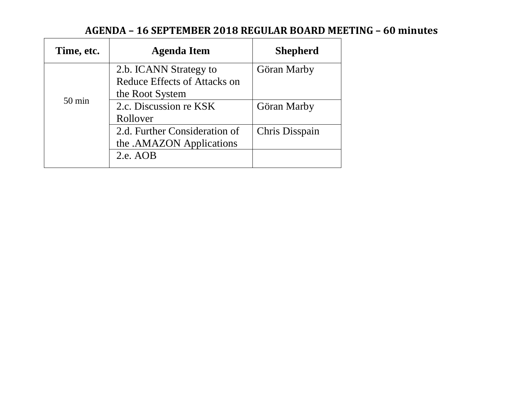# **AGENDA – 16 SEPTEMBER 2018 REGULAR BOARD MEETING – 60 minutes**

| Time, etc.       | <b>Agenda Item</b>            | <b>Shepherd</b> |
|------------------|-------------------------------|-----------------|
| $50 \text{ min}$ | 2.b. ICANN Strategy to        | Göran Marby     |
|                  | Reduce Effects of Attacks on  |                 |
|                  | the Root System               |                 |
|                  | 2.c. Discussion re KSK        | Göran Marby     |
|                  | Rollover                      |                 |
|                  | 2.d. Further Consideration of | Chris Disspain  |
|                  | the .AMAZON Applications      |                 |
|                  | 2.e. AOB                      |                 |
|                  |                               |                 |

ा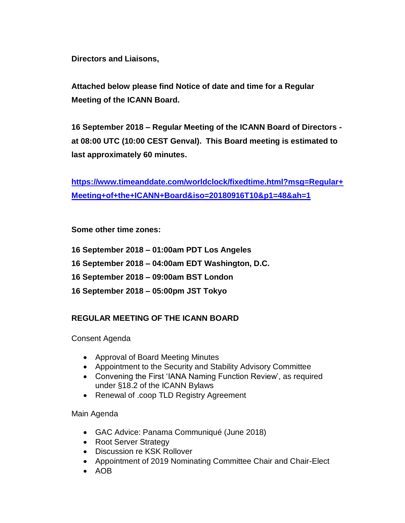**Directors and Liaisons,**

**Attached below please find Notice of date and time for a Regular Meeting of the ICANN Board.** 

**16 September 2018 – Regular Meeting of the ICANN Board of Directors at 08:00 UTC (10:00 CEST Genval). This Board meeting is estimated to last approximately 60 minutes.**

**https://www.timeanddate.com/worldclock/fixedtime.html?msg=Regular+ Meeting+of+the+ICANN+Board&iso=20180916T10&p1=48&ah=1**

# **Some other time zones:**

- **16 September 2018 – 01:00am PDT Los Angeles**
- **16 September 2018 – 04:00am EDT Washington, D.C.**
- **16 September 2018 – 09:00am BST London**
- **16 September 2018 – 05:00pm JST Tokyo**

# **REGULAR MEETING OF THE ICANN BOARD**

# Consent Agenda

- Approval of Board Meeting Minutes
- Appointment to the Security and Stability Advisory Committee
- Convening the First 'IANA Naming Function Review', as required under §18.2 of the ICANN Bylaws
- Renewal of .coop TLD Registry Agreement

# Main Agenda

- GAC Advice: Panama Communiqué (June 2018)
- Root Server Strategy
- Discussion re KSK Rollover
- Appointment of 2019 Nominating Committee Chair and Chair-Elect
- AOB